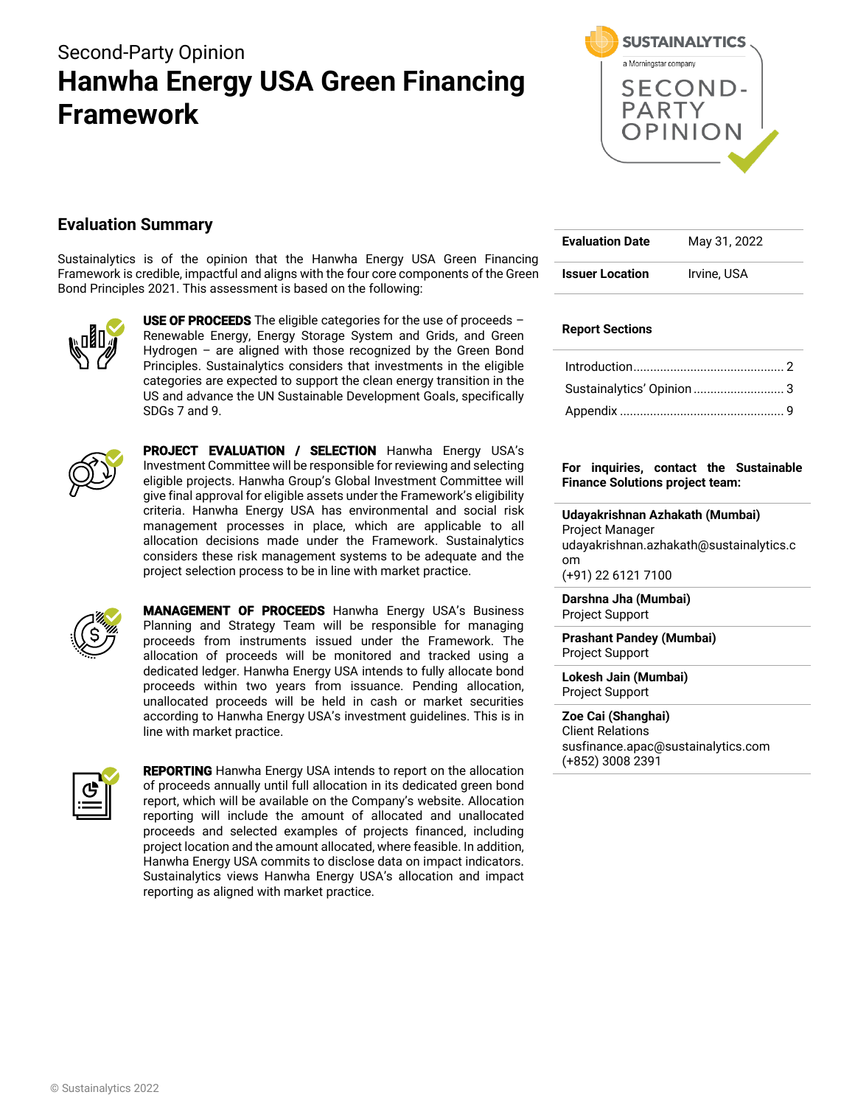# Second-Party Opinion **Hanwha Energy USA Green Financing Framework**



## **Evaluation Summary**

Sustainalytics is of the opinion that the Hanwha Energy USA Green Financing Framework is credible, impactful and aligns with the four core components of the Green Bond Principles 2021. This assessment is based on the following:



USE OF PROCEEDS The eligible categories for the use of proceeds  $-$ Renewable Energy, Energy Storage System and Grids, and Green Hydrogen – are aligned with those recognized by the Green Bond Principles. Sustainalytics considers that investments in the eligible categories are expected to support the clean energy transition in the US and advance the UN Sustainable Development Goals, specifically SDGs 7 and 9.



PROJECT EVALUATION / SELECTION Hanwha Energy USA's Investment Committee will be responsible for reviewing and selecting eligible projects. Hanwha Group's Global Investment Committee will give final approval for eligible assets under the Framework's eligibility criteria. Hanwha Energy USA has environmental and social risk management processes in place, which are applicable to all allocation decisions made under the Framework. Sustainalytics considers these risk management systems to be adequate and the project selection process to be in line with market practice.



MANAGEMENT OF PROCEEDS Hanwha Energy USA's Business Planning and Strategy Team will be responsible for managing proceeds from instruments issued under the Framework. The allocation of proceeds will be monitored and tracked using a dedicated ledger. Hanwha Energy USA intends to fully allocate bond proceeds within two years from issuance. Pending allocation, unallocated proceeds will be held in cash or market securities according to Hanwha Energy USA's investment guidelines. This is in line with market practice.



**REPORTING** Hanwha Energy USA intends to report on the allocation of proceeds annually until full allocation in its dedicated green bond report, which will be available on the Company's website. Allocation reporting will include the amount of allocated and unallocated proceeds and selected examples of projects financed, including project location and the amount allocated, where feasible. In addition, Hanwha Energy USA commits to disclose data on impact indicators. Sustainalytics views Hanwha Energy USA's allocation and impact reporting as aligned with market practice.

| <b>Evaluation Date</b> | May 31, 2022 |
|------------------------|--------------|
| <b>Issuer Location</b> | Irvine, USA  |

#### **Report Sections**

| Sustainalytics' Opinion  3 |  |
|----------------------------|--|
|                            |  |

#### **For inquiries, contact the Sustainable Finance Solutions project team:**

**Udayakrishnan Azhakath (Mumbai)** Project Manager udayakrishnan.azhakath@sustainalytics.c om (+91) 22 6121 7100

**Darshna Jha (Mumbai)** Project Support

**Prashant Pandey (Mumbai)** Project Support

**Lokesh Jain (Mumbai)** Project Support

**Zoe Cai (Shanghai)** Client Relations susfinance.apac@sustainalytics.com (+852) 3008 2391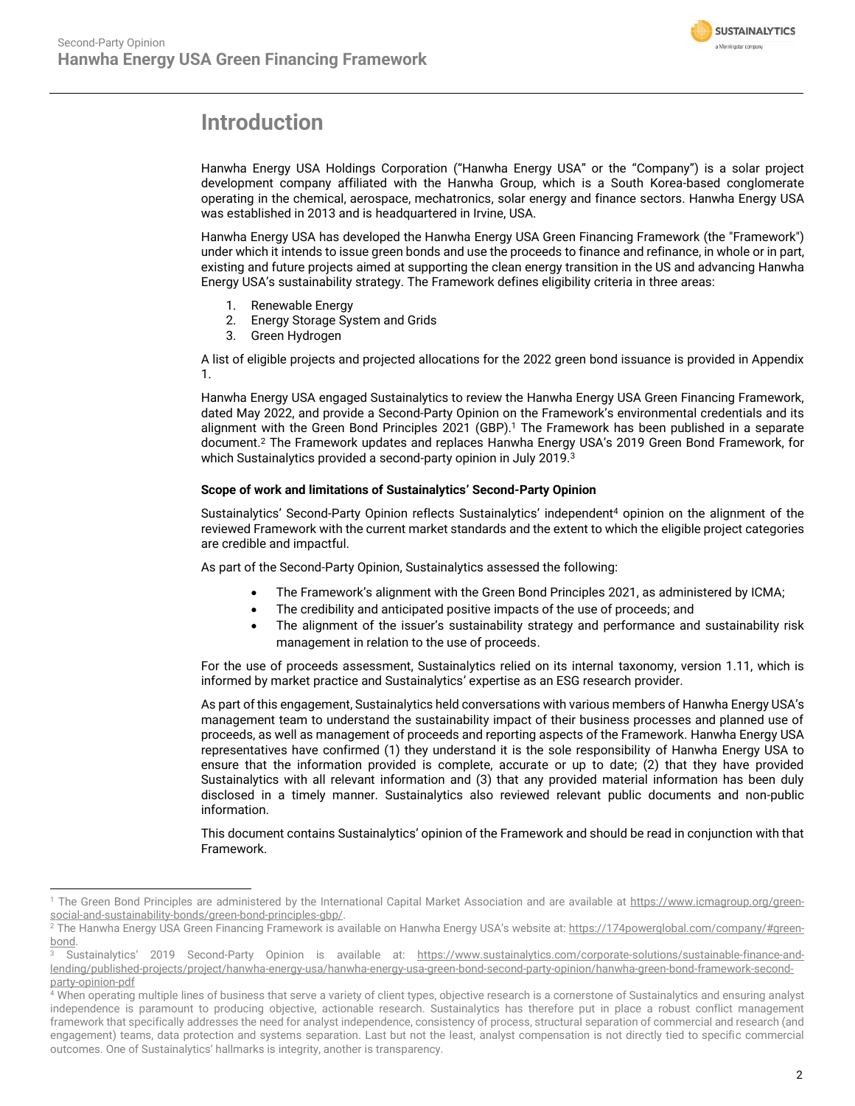

## <span id="page-1-0"></span>**Introduction**

Hanwha Energy USA Holdings Corporation ("Hanwha Energy USA" or the "Company") is a solar project development company affiliated with the Hanwha Group, which is a South Korea-based conglomerate operating in the chemical, aerospace, mechatronics, solar energy and finance sectors. Hanwha Energy USA was established in 2013 and is headquartered in Irvine, USA.

Hanwha Energy USA has developed the Hanwha Energy USA Green Financing Framework (the "Framework") under which it intends to issue green bonds and use the proceeds to finance and refinance, in whole or in part, existing and future projects aimed at supporting the clean energy transition in the US and advancing Hanwha Energy USA's sustainability strategy. The Framework defines eligibility criteria in three areas:

- 1. Renewable Energy
- 2. Energy Storage System and Grids
- 3. Green Hydrogen

A list of eligible projects and projected allocations for the 2022 green bond issuance is provided in Appendix 1.

Hanwha Energy USA engaged Sustainalytics to review the Hanwha Energy USA Green Financing Framework, dated May 2022, and provide a Second-Party Opinion on the Framework's environmental credentials and its alignment with the Green Bond Principles 2021 (GBP). <sup>1</sup> The Framework has been published in a separate document. <sup>2</sup> The Framework updates and replaces Hanwha Energy USA's 2019 Green Bond Framework, for which Sustainalytics provided a second-party opinion in July 2019.<sup>3</sup>

#### **Scope of work and limitations of Sustainalytics' Second-Party Opinion**

Sustainalytics' Second-Party Opinion reflects Sustainalytics' independent<sup>4</sup> opinion on the alignment of the reviewed Framework with the current market standards and the extent to which the eligible project categories are credible and impactful.

As part of the Second-Party Opinion, Sustainalytics assessed the following:

- The Framework's alignment with the Green Bond Principles 2021, as administered by ICMA;
- The credibility and anticipated positive impacts of the use of proceeds; and
- The alignment of the issuer's sustainability strategy and performance and sustainability risk management in relation to the use of proceeds.

For the use of proceeds assessment, Sustainalytics relied on its internal taxonomy, version 1.11, which is informed by market practice and Sustainalytics' expertise as an ESG research provider.

As part of this engagement, Sustainalytics held conversations with various members of Hanwha Energy USA's management team to understand the sustainability impact of their business processes and planned use of proceeds, as well as management of proceeds and reporting aspects of the Framework. Hanwha Energy USA representatives have confirmed (1) they understand it is the sole responsibility of Hanwha Energy USA to ensure that the information provided is complete, accurate or up to date; (2) that they have provided Sustainalytics with all relevant information and (3) that any provided material information has been duly disclosed in a timely manner. Sustainalytics also reviewed relevant public documents and non-public information.

This document contains Sustainalytics' opinion of the Framework and should be read in conjunction with that Framework.

<sup>&</sup>lt;sup>1</sup> The Green Bond Principles are administered by the International Capital Market Association and are available at [https://www.icmagroup.org/green](https://www.icmagroup.org/green-social-and-sustainability-bonds/green-bond-principles-gbp/)[social-and-sustainability-bonds/green-bond-principles-gbp/.](https://www.icmagroup.org/green-social-and-sustainability-bonds/green-bond-principles-gbp/)

<sup>&</sup>lt;sup>2</sup> The Hanwha Energy USA Green Financing Framework is available on Hanwha Energy USA's website at: [https://174powerglobal.com/company/#green](https://nam11.safelinks.protection.outlook.com/?url=https%3A%2F%2F174powerglobal.com%2Fcompany%2F%23green-bond&data=05%7C01%7Cstephanie.sieber%40174powerglobal.com%7Cde45865a2f6e466c2e3b08da31f72bcf%7Ccdf826334ea0450e9c288e0e14f1f296%7C1%7C0%7C637877234928775320%7CUnknown%7CTWFpbGZsb3d8eyJWIjoiMC4wLjAwMDAiLCJQIjoiV2luMzIiLCJBTiI6Ik1haWwiLCJXVCI6Mn0%3D%7C3000%7C%7C%7C&sdata=mpkPfey1h4kHo2KNYIeH4G1zCGhDosV2vTDnBCFLWxI%3D&reserved=0)[bond.](https://nam11.safelinks.protection.outlook.com/?url=https%3A%2F%2F174powerglobal.com%2Fcompany%2F%23green-bond&data=05%7C01%7Cstephanie.sieber%40174powerglobal.com%7Cde45865a2f6e466c2e3b08da31f72bcf%7Ccdf826334ea0450e9c288e0e14f1f296%7C1%7C0%7C637877234928775320%7CUnknown%7CTWFpbGZsb3d8eyJWIjoiMC4wLjAwMDAiLCJQIjoiV2luMzIiLCJBTiI6Ik1haWwiLCJXVCI6Mn0%3D%7C3000%7C%7C%7C&sdata=mpkPfey1h4kHo2KNYIeH4G1zCGhDosV2vTDnBCFLWxI%3D&reserved=0)

Sustainalytics' 2019 Second-Party Opinion is available at: [https://www.sustainalytics.com/corporate-solutions/sustainable-finance-and](https://www.sustainalytics.com/corporate-solutions/sustainable-finance-and-lending/published-projects/project/hanwha-energy-usa/hanwha-energy-usa-green-bond-second-party-opinion/hanwha-green-bond-framework-second-party-opinion-pdf)[lending/published-projects/project/hanwha-energy-usa/hanwha-energy-usa-green-bond-second-party-opinion/hanwha-green-bond-framework-second](https://www.sustainalytics.com/corporate-solutions/sustainable-finance-and-lending/published-projects/project/hanwha-energy-usa/hanwha-energy-usa-green-bond-second-party-opinion/hanwha-green-bond-framework-second-party-opinion-pdf)[party-opinion-pdf](https://www.sustainalytics.com/corporate-solutions/sustainable-finance-and-lending/published-projects/project/hanwha-energy-usa/hanwha-energy-usa-green-bond-second-party-opinion/hanwha-green-bond-framework-second-party-opinion-pdf)

<sup>4</sup> When operating multiple lines of business that serve a variety of client types, objective research is a cornerstone of Sustainalytics and ensuring analyst independence is paramount to producing objective, actionable research. Sustainalytics has therefore put in place a robust conflict management framework that specifically addresses the need for analyst independence, consistency of process, structural separation of commercial and research (and engagement) teams, data protection and systems separation. Last but not the least, analyst compensation is not directly tied to specific commercial outcomes. One of Sustainalytics' hallmarks is integrity, another is transparency.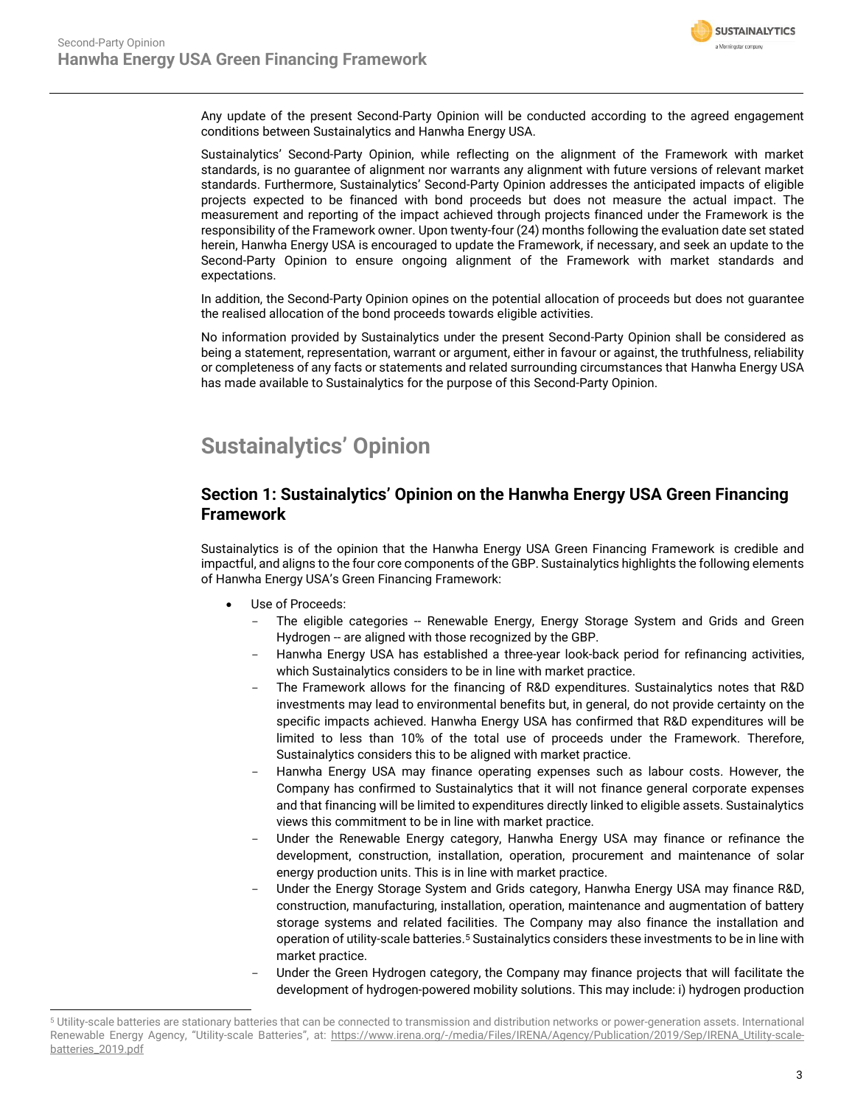

Any update of the present Second-Party Opinion will be conducted according to the agreed engagement conditions between Sustainalytics and Hanwha Energy USA.

Sustainalytics' Second-Party Opinion, while reflecting on the alignment of the Framework with market standards, is no guarantee of alignment nor warrants any alignment with future versions of relevant market standards. Furthermore, Sustainalytics' Second-Party Opinion addresses the anticipated impacts of eligible projects expected to be financed with bond proceeds but does not measure the actual impact. The measurement and reporting of the impact achieved through projects financed under the Framework is the responsibility of the Framework owner. Upon twenty-four (24) months following the evaluation date set stated herein, Hanwha Energy USA is encouraged to update the Framework, if necessary, and seek an update to the Second-Party Opinion to ensure ongoing alignment of the Framework with market standards and expectations.

In addition, the Second-Party Opinion opines on the potential allocation of proceeds but does not guarantee the realised allocation of the bond proceeds towards eligible activities.

No information provided by Sustainalytics under the present Second-Party Opinion shall be considered as being a statement, representation, warrant or argument, either in favour or against, the truthfulness, reliability or completeness of any facts or statements and related surrounding circumstances that Hanwha Energy USA has made available to Sustainalytics for the purpose of this Second-Party Opinion.

## <span id="page-2-0"></span>**Sustainalytics' Opinion**

### **Section 1: Sustainalytics' Opinion on the Hanwha Energy USA Green Financing Framework**

Sustainalytics is of the opinion that the Hanwha Energy USA Green Financing Framework is credible and impactful, and aligns to the four core components of the GBP. Sustainalytics highlights the following elements of Hanwha Energy USA's Green Financing Framework:

- Use of Proceeds:
	- The eligible categories -- Renewable Energy, Energy Storage System and Grids and Green Hydrogen -- are aligned with those recognized by the GBP.
	- Hanwha Energy USA has established a three-year look-back period for refinancing activities, which Sustainalytics considers to be in line with market practice.
	- The Framework allows for the financing of R&D expenditures. Sustainalytics notes that R&D investments may lead to environmental benefits but, in general, do not provide certainty on the specific impacts achieved. Hanwha Energy USA has confirmed that R&D expenditures will be limited to less than 10% of the total use of proceeds under the Framework. Therefore, Sustainalytics considers this to be aligned with market practice.
	- Hanwha Energy USA may finance operating expenses such as labour costs. However, the Company has confirmed to Sustainalytics that it will not finance general corporate expenses and that financing will be limited to expenditures directly linked to eligible assets. Sustainalytics views this commitment to be in line with market practice.
	- Under the Renewable Energy category, Hanwha Energy USA may finance or refinance the development, construction, installation, operation, procurement and maintenance of solar energy production units. This is in line with market practice.
	- Under the Energy Storage System and Grids category, Hanwha Energy USA may finance R&D, construction, manufacturing, installation, operation, maintenance and augmentation of battery storage systems and related facilities. The Company may also finance the installation and operation of utility-scale batteries.<sup>5</sup> Sustainalytics considers these investments to be in line with market practice.
	- Under the Green Hydrogen category, the Company may finance projects that will facilitate the development of hydrogen-powered mobility solutions. This may include: i) hydrogen production

<sup>5</sup> Utility-scale batteries are stationary batteries that can be connected to transmission and distribution networks or power-generation assets. International Renewable Energy Agency, "Utility-scale Batteries", at: [https://www.irena.org/-/media/Files/IRENA/Agency/Publication/2019/Sep/IRENA\\_Utility-scale](https://www.irena.org/-/media/Files/IRENA/Agency/Publication/2019/Sep/IRENA_Utility-scale-batteries_2019.pdf)[batteries\\_2019.pdf](https://www.irena.org/-/media/Files/IRENA/Agency/Publication/2019/Sep/IRENA_Utility-scale-batteries_2019.pdf)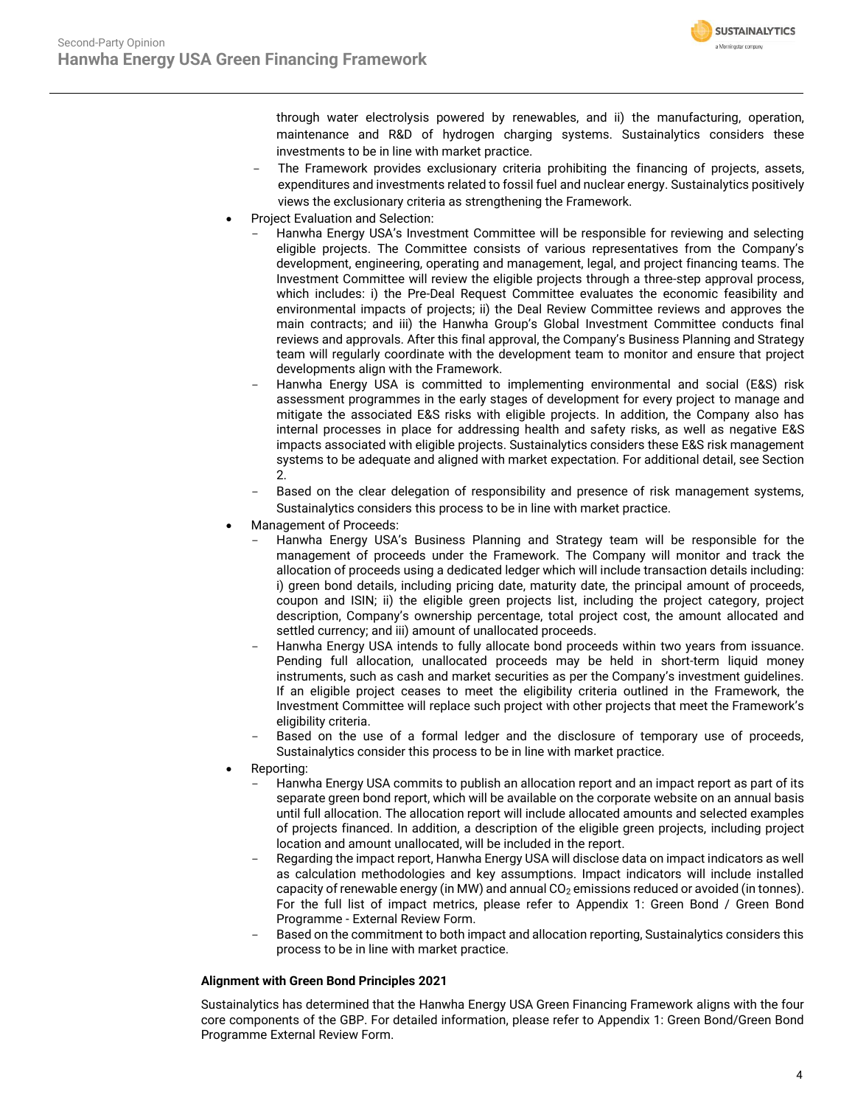

through water electrolysis powered by renewables, and ii) the manufacturing, operation, maintenance and R&D of hydrogen charging systems. Sustainalytics considers these investments to be in line with market practice.

- The Framework provides exclusionary criteria prohibiting the financing of projects, assets, expenditures and investments related to fossil fuel and nuclear energy. Sustainalytics positively views the exclusionary criteria as strengthening the Framework.
- Project Evaluation and Selection:
	- Hanwha Energy USA's Investment Committee will be responsible for reviewing and selecting eligible projects. The Committee consists of various representatives from the Company's development, engineering, operating and management, legal, and project financing teams. The Investment Committee will review the eligible projects through a three-step approval process, which includes: i) the Pre-Deal Request Committee evaluates the economic feasibility and environmental impacts of projects; ii) the Deal Review Committee reviews and approves the main contracts; and iii) the Hanwha Group's Global Investment Committee conducts final reviews and approvals. After this final approval, the Company's Business Planning and Strategy team will regularly coordinate with the development team to monitor and ensure that project developments align with the Framework.
	- Hanwha Energy USA is committed to implementing environmental and social (E&S) risk assessment programmes in the early stages of development for every project to manage and mitigate the associated E&S risks with eligible projects. In addition, the Company also has internal processes in place for addressing health and safety risks, as well as negative E&S impacts associated with eligible projects. Sustainalytics considers these E&S risk management systems to be adequate and aligned with market expectation. For additional detail, see Section 2.
	- Based on the clear delegation of responsibility and presence of risk management systems, Sustainalytics considers this process to be in line with market practice.
- Management of Proceeds:
	- Hanwha Energy USA's Business Planning and Strategy team will be responsible for the management of proceeds under the Framework. The Company will monitor and track the allocation of proceeds using a dedicated ledger which will include transaction details including: i) green bond details, including pricing date, maturity date, the principal amount of proceeds, coupon and ISIN; ii) the eligible green projects list, including the project category, project description, Company's ownership percentage, total project cost, the amount allocated and settled currency; and iii) amount of unallocated proceeds.
	- Hanwha Energy USA intends to fully allocate bond proceeds within two years from issuance. Pending full allocation, unallocated proceeds may be held in short-term liquid money instruments, such as cash and market securities as per the Company's investment guidelines. If an eligible project ceases to meet the eligibility criteria outlined in the Framework, the Investment Committee will replace such project with other projects that meet the Framework's eligibility criteria.
	- Based on the use of a formal ledger and the disclosure of temporary use of proceeds, Sustainalytics consider this process to be in line with market practice.
- Reporting:
	- Hanwha Energy USA commits to publish an allocation report and an impact report as part of its separate green bond report, which will be available on the corporate website on an annual basis until full allocation. The allocation report will include allocated amounts and selected examples of projects financed. In addition, a description of the eligible green projects, including project location and amount unallocated, will be included in the report.
	- Regarding the impact report, Hanwha Energy USA will disclose data on impact indicators as well as calculation methodologies and key assumptions. Impact indicators will include installed capacity of renewable energy (in MW) and annual  $CO<sub>2</sub>$  emissions reduced or avoided (in tonnes). For the full list of impact metrics, please refer to Appendix 1: Green Bond / Green Bond Programme - External Review Form.
	- Based on the commitment to both impact and allocation reporting, Sustainalytics considers this process to be in line with market practice.

#### **Alignment with Green Bond Principles 2021**

Sustainalytics has determined that the Hanwha Energy USA Green Financing Framework aligns with the four core components of the GBP. For detailed information, please refer to Appendix 1: Green Bond/Green Bond Programme External Review Form.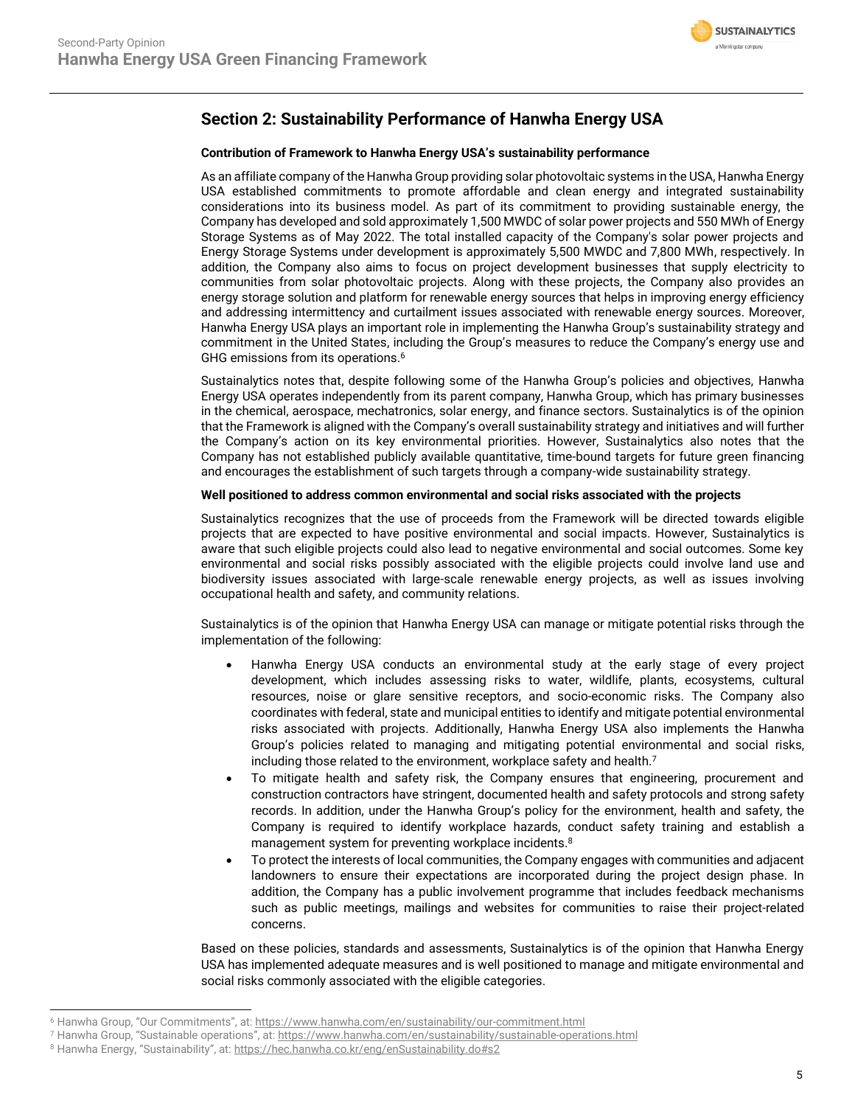

## **Section 2: Sustainability Performance of Hanwha Energy USA**

#### **Contribution of Framework to Hanwha Energy USA's sustainability performance**

As an affiliate company of the Hanwha Group providing solar photovoltaic systems in the USA, Hanwha Energy USA established commitments to promote affordable and clean energy and integrated sustainability considerations into its business model. As part of its commitment to providing sustainable energy, the Company has developed and sold approximately 1,500 MWDC of solar power projects and 550 MWh of Energy Storage Systems as of May 2022. The total installed capacity of the Company's solar power projects and Energy Storage Systems under development is approximately 5,500 MWDC and 7,800 MWh, respectively. In addition, the Company also aims to focus on project development businesses that supply electricity to communities from solar photovoltaic projects. Along with these projects, the Company also provides an energy storage solution and platform for renewable energy sources that helps in improving energy efficiency and addressing intermittency and curtailment issues associated with renewable energy sources. Moreover, Hanwha Energy USA plays an important role in implementing the Hanwha Group's sustainability strategy and commitment in the United States, including the Group's measures to reduce the Company's energy use and GHG emissions from its operations. 6

Sustainalytics notes that, despite following some of the Hanwha Group's policies and objectives, Hanwha Energy USA operates independently from its parent company, Hanwha Group, which has primary businesses in the chemical, aerospace, mechatronics, solar energy, and finance sectors. Sustainalytics is of the opinion that the Framework is aligned with the Company's overall sustainability strategy and initiatives and will further the Company's action on its key environmental priorities. However, Sustainalytics also notes that the Company has not established publicly available quantitative, time-bound targets for future green financing and encourages the establishment of such targets through a company-wide sustainability strategy.

#### **Well positioned to address common environmental and social risks associated with the projects**

Sustainalytics recognizes that the use of proceeds from the Framework will be directed towards eligible projects that are expected to have positive environmental and social impacts. However, Sustainalytics is aware that such eligible projects could also lead to negative environmental and social outcomes. Some key environmental and social risks possibly associated with the eligible projects could involve land use and biodiversity issues associated with large-scale renewable energy projects, as well as issues involving occupational health and safety, and community relations.

Sustainalytics is of the opinion that Hanwha Energy USA can manage or mitigate potential risks through the implementation of the following:

- Hanwha Energy USA conducts an environmental study at the early stage of every project development, which includes assessing risks to water, wildlife, plants, ecosystems, cultural resources, noise or glare sensitive receptors, and socio-economic risks. The Company also coordinates with federal, state and municipal entities to identify and mitigate potential environmental risks associated with projects. Additionally, Hanwha Energy USA also implements the Hanwha Group's policies related to managing and mitigating potential environmental and social risks, including those related to the environment, workplace safety and health.<sup>7</sup>
- To mitigate health and safety risk, the Company ensures that engineering, procurement and construction contractors have stringent, documented health and safety protocols and strong safety records. In addition, under the Hanwha Group's policy for the environment, health and safety, the Company is required to identify workplace hazards, conduct safety training and establish a management system for preventing workplace incidents.<sup>8</sup>
- To protect the interests of local communities, the Company engages with communities and adjacent landowners to ensure their expectations are incorporated during the project design phase. In addition, the Company has a public involvement programme that includes feedback mechanisms such as public meetings, mailings and websites for communities to raise their project-related concerns.

Based on these policies, standards and assessments, Sustainalytics is of the opinion that Hanwha Energy USA has implemented adequate measures and is well positioned to manage and mitigate environmental and social risks commonly associated with the eligible categories.

<sup>6</sup> Hanwha Group, "Our Commitments", at: <https://www.hanwha.com/en/sustainability/our-commitment.html>

<sup>7</sup> Hanwha Group, "Sustainable operations", at: <https://www.hanwha.com/en/sustainability/sustainable-operations.html>

<sup>8</sup> Hanwha Energy, "Sustainability", at: <https://hec.hanwha.co.kr/eng/enSustainability.do#s2>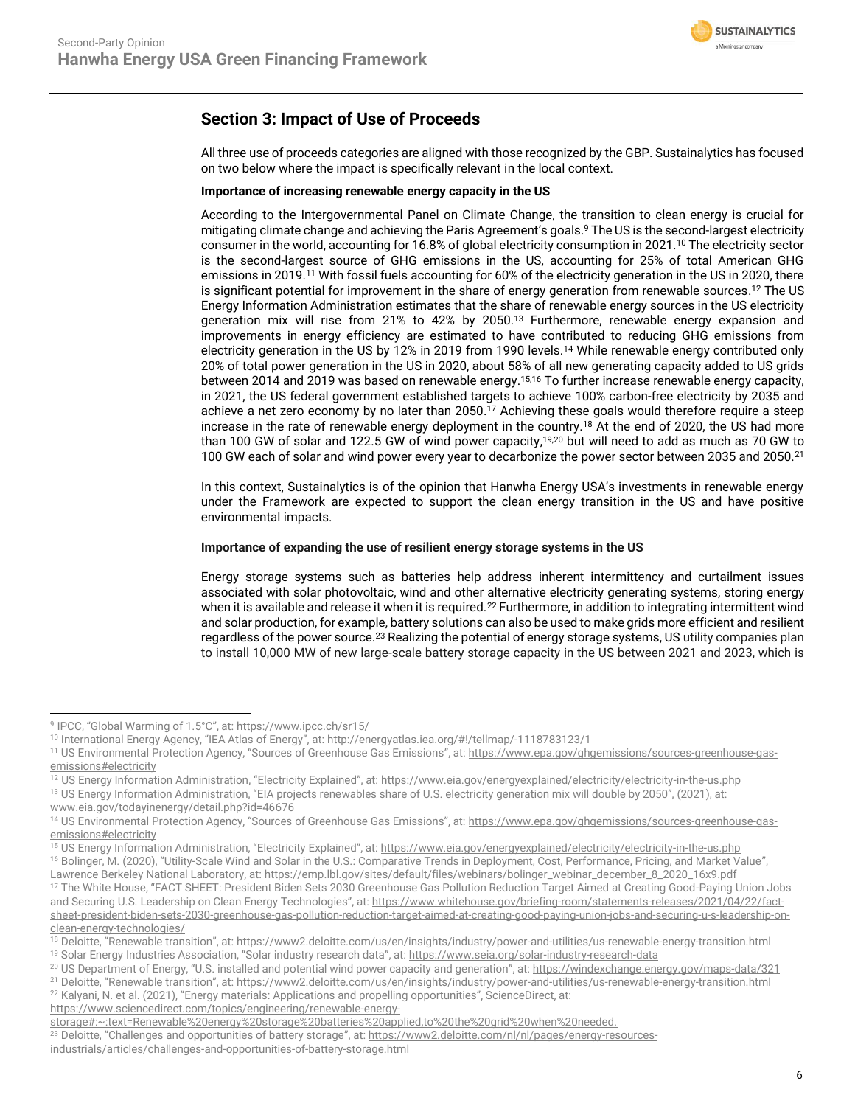

## **Section 3: Impact of Use of Proceeds**

All three use of proceeds categories are aligned with those recognized by the GBP. Sustainalytics has focused on two below where the impact is specifically relevant in the local context.

#### **Importance of increasing renewable energy capacity in the US**

According to the Intergovernmental Panel on Climate Change, the transition to clean energy is crucial for mitigating climate change and achieving the Paris Agreement's goals. <sup>9</sup> The US is the second-largest electricity consumer in the world, accounting for 16.8% of global electricity consumption in 2021.<sup>10</sup> The electricity sector is the second-largest source of GHG emissions in the US, accounting for 25% of total American GHG emissions in 2019. <sup>11</sup> With fossil fuels accounting for 60% of the electricity generation in the US in 2020, there is significant potential for improvement in the share of energy generation from renewable sources.<sup>12</sup> The US Energy Information Administration estimates that the share of renewable energy sources in the US electricity generation mix will rise from 21% to 42% by 2050.<sup>13</sup> Furthermore, renewable energy expansion and improvements in energy efficiency are estimated to have contributed to reducing GHG emissions from electricity generation in the US by 12% in 2019 from 1990 levels.<sup>14</sup> While renewable energy contributed only 20% of total power generation in the US in 2020, about 58% of all new generating capacity added to US grids between 2014 and 2019 was based on renewable energy.<sup>15,16</sup> To further increase renewable energy capacity, in 2021, the US federal government established targets to achieve 100% carbon-free electricity by 2035 and achieve a net zero economy by no later than 2050.<sup>17</sup> Achieving these goals would therefore require a steep increase in the rate of renewable energy deployment in the country.<sup>18</sup> At the end of 2020, the US had more than 100 GW of solar and 122.5 GW of wind power capacity, 19,20 but will need to add as much as 70 GW to 100 GW each of solar and wind power every year to decarbonize the power sector between 2035 and 2050.<sup>21</sup>

In this context, Sustainalytics is of the opinion that Hanwha Energy USA's investments in renewable energy under the Framework are expected to support the clean energy transition in the US and have positive environmental impacts.

#### **Importance of expanding the use of resilient energy storage systems in the US**

Energy storage systems such as batteries help address inherent intermittency and curtailment issues associated with solar photovoltaic, wind and other alternative electricity generating systems, storing energy when it is available and release it when it is required.<sup>22</sup> Furthermore, in addition to integrating intermittent wind and solar production, for example, battery solutions can also be used to make grids more efficient and resilient regardless of the power source.<sup>23</sup> Realizing the potential of energy storage systems, US utility companies plan to install 10,000 MW of new large-scale battery storage capacity in the US between 2021 and 2023, which is

<sup>15</sup> US Energy Information Administration, "Electricity Explained", at: <https://www.eia.gov/energyexplained/electricity/electricity-in-the-us.php> <sup>16</sup> Bolinger, M. (2020), "Utility-Scale Wind and Solar in the U.S.: Comparative Trends in Deployment, Cost, Performance, Pricing, and Market Value",

<sup>9</sup> IPCC, "Global Warming of 1.5°C", at: <https://www.ipcc.ch/sr15/>

<sup>10</sup> International Energy Agency, "IEA Atlas of Energy", at: <http://energyatlas.iea.org/#!/tellmap/-1118783123/1>

<sup>&</sup>lt;sup>11</sup> US Environmental Protection Agency, "Sources of Greenhouse Gas Emissions", at: [https://www.epa.gov/ghgemissions/sources-greenhouse-gas](https://www.epa.gov/ghgemissions/sources-greenhouse-gas-emissions#electricity)[emissions#electricity](https://www.epa.gov/ghgemissions/sources-greenhouse-gas-emissions#electricity)

<sup>&</sup>lt;sup>12</sup> US Energy Information Administration, "Electricity Explained", at: <https://www.eia.gov/energyexplained/electricity/electricity-in-the-us.php> <sup>13</sup> US Energy Information Administration, "EIA projects renewables share of U.S. electricity generation mix will double by 2050", (2021), at:

[www.eia.gov/todayinenergy/detail.php?id=46676](http://www.eia.gov/todayinenergy/detail.php?id=46676)

<sup>&</sup>lt;sup>14</sup> US Environmental Protection Agency, "Sources of Greenhouse Gas Emissions", at: [https://www.epa.gov/ghgemissions/sources-greenhouse-gas](https://www.epa.gov/ghgemissions/sources-greenhouse-gas-emissions#electricity)[emissions#electricity](https://www.epa.gov/ghgemissions/sources-greenhouse-gas-emissions#electricity)

Lawrence Berkeley National Laboratory, at[: https://emp.lbl.gov/sites/default/files/webinars/bolinger\\_webinar\\_december\\_8\\_2020\\_16x9.pdf](https://emp.lbl.gov/sites/default/files/webinars/bolinger_webinar_december_8_2020_16x9.pdf)

<sup>&</sup>lt;sup>17</sup> The White House, "FACT SHEET: President Biden Sets 2030 Greenhouse Gas Pollution Reduction Target Aimed at Creating Good-Paying Union Jobs and Securing U.S. Leadership on Clean Energy Technologies", at: [https://www.whitehouse.gov/briefing-room/statements-releases/2021/04/22/fact](https://www.whitehouse.gov/briefing-room/statements-releases/2021/04/22/fact-sheet-president-biden-sets-2030-greenhouse-gas-pollution-reduction-target-aimed-at-creating-good-paying-union-jobs-and-securing-u-s-leadership-on-clean-energy-technologies/)[sheet-president-biden-sets-2030-greenhouse-gas-pollution-reduction-target-aimed-at-creating-good-paying-union-jobs-and-securing-u-s-leadership-on](https://www.whitehouse.gov/briefing-room/statements-releases/2021/04/22/fact-sheet-president-biden-sets-2030-greenhouse-gas-pollution-reduction-target-aimed-at-creating-good-paying-union-jobs-and-securing-u-s-leadership-on-clean-energy-technologies/)[clean-energy-technologies/](https://www.whitehouse.gov/briefing-room/statements-releases/2021/04/22/fact-sheet-president-biden-sets-2030-greenhouse-gas-pollution-reduction-target-aimed-at-creating-good-paying-union-jobs-and-securing-u-s-leadership-on-clean-energy-technologies/)

<sup>18</sup> Deloitte, "Renewable transition", at: <https://www2.deloitte.com/us/en/insights/industry/power-and-utilities/us-renewable-energy-transition.html>

<sup>19</sup> Solar Energy Industries Association, "Solar industry research data", at[: https://www.seia.org/solar-industry-research-data](https://www.seia.org/solar-industry-research-data)

<sup>&</sup>lt;sup>20</sup> US Department of Energy, "U.S. installed and potential wind power capacity and generation", at: <https://windexchange.energy.gov/maps-data/321>

<sup>&</sup>lt;sup>21</sup> Deloitte, "Renewable transition", at: <https://www2.deloitte.com/us/en/insights/industry/power-and-utilities/us-renewable-energy-transition.html>

<sup>&</sup>lt;sup>22</sup> Kalyani, N. et al. (2021), "Energy materials: Applications and propelling opportunities", ScienceDirect, at: [https://www.sciencedirect.com/topics/engineering/renewable-energy-](https://www.sciencedirect.com/topics/engineering/renewable-energy-storage#:~:text=Renewable%20energy%20storage%20batteries%20applied,to%20the%20grid%20when%20needed.)

[storage#:~:text=Renewable%20energy%20storage%20batteries%20applied,to%20the%20grid%20when%20needed.](https://www.sciencedirect.com/topics/engineering/renewable-energy-storage#:~:text=Renewable%20energy%20storage%20batteries%20applied,to%20the%20grid%20when%20needed.)

<sup>&</sup>lt;sup>23</sup> Deloitte, "Challenges and opportunities of battery storage", at: [https://www2.deloitte.com/nl/nl/pages/energy-resources](https://www2.deloitte.com/nl/nl/pages/energy-resources-industrials/articles/challenges-and-opportunities-of-battery-storage.html)[industrials/articles/challenges-and-opportunities-of-battery-storage.html](https://www2.deloitte.com/nl/nl/pages/energy-resources-industrials/articles/challenges-and-opportunities-of-battery-storage.html)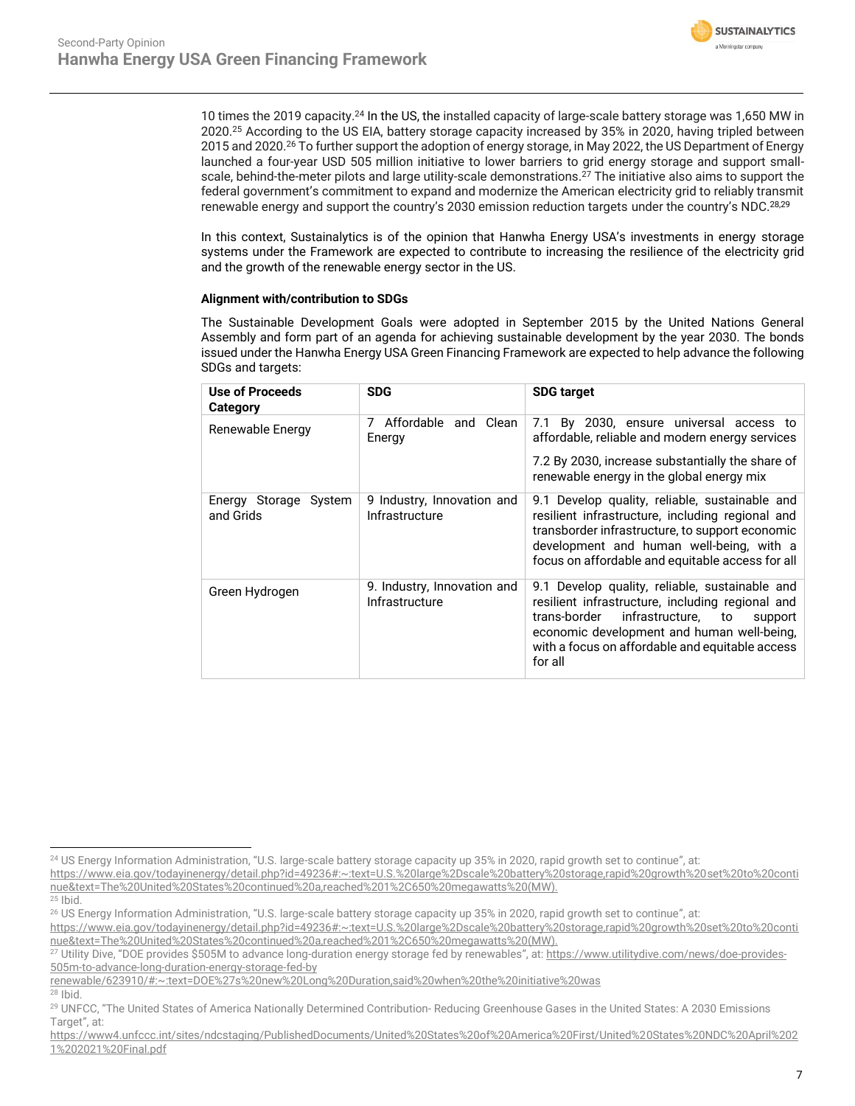

10 times the 2019 capacity.<sup>24</sup> In the US, the installed capacity of large-scale battery storage was 1,650 MW in 2020.<sup>25</sup> According to the US EIA, battery storage capacity increased by 35% in 2020, having tripled between 2015 and 2020.<sup>26</sup> To further support the adoption of energy storage, in May 2022, the US Department of Energy launched a four-year USD 505 million initiative to lower barriers to grid energy storage and support smallscale, behind-the-meter pilots and large utility-scale demonstrations.<sup>27</sup> The initiative also aims to support the federal government's commitment to expand and modernize the American electricity grid to reliably transmit renewable energy and support the country's 2030 emission reduction targets under the country's NDC.28,29

In this context, Sustainalytics is of the opinion that Hanwha Energy USA's investments in energy storage systems under the Framework are expected to contribute to increasing the resilience of the electricity grid and the growth of the renewable energy sector in the US.

#### **Alignment with/contribution to SDGs**

The Sustainable Development Goals were adopted in September 2015 by the United Nations General Assembly and form part of an agenda for achieving sustainable development by the year 2030. The bonds issued under the Hanwha Energy USA Green Financing Framework are expected to help advance the following SDGs and targets:

| <b>Use of Proceeds</b><br>Category | <b>SDG</b>                                    | <b>SDG target</b>                                                                                                                                                                                                                                                  |
|------------------------------------|-----------------------------------------------|--------------------------------------------------------------------------------------------------------------------------------------------------------------------------------------------------------------------------------------------------------------------|
| Renewable Energy                   | Affordable and Clean<br>7<br>Energy           | By 2030, ensure universal access to<br>7.1<br>affordable, reliable and modern energy services                                                                                                                                                                      |
|                                    |                                               | 7.2 By 2030, increase substantially the share of<br>renewable energy in the global energy mix                                                                                                                                                                      |
| Energy Storage System<br>and Grids | 9 Industry, Innovation and<br>Infrastructure  | 9.1 Develop quality, reliable, sustainable and<br>resilient infrastructure, including regional and<br>transborder infrastructure, to support economic<br>development and human well-being, with a<br>focus on affordable and equitable access for all              |
| Green Hydrogen                     | 9. Industry, Innovation and<br>Infrastructure | 9.1 Develop quality, reliable, sustainable and<br>resilient infrastructure, including regional and<br>infrastructure,<br>trans-border<br>to<br>support<br>economic development and human well-being,<br>with a focus on affordable and equitable access<br>for all |

- [https://www.eia.gov/todayinenergy/detail.php?id=49236#:~:text=U.S.%20large%2Dscale%20battery%20storage,rapid%20growth%20set%20to%20conti](https://www.eia.gov/todayinenergy/detail.php?id=49236#:~:text=U.S.%20large%2Dscale%20battery%20storage,rapid%20growth%20set%20to%20continue&text=The%20United%20States%20continued%20a,reached%201%2C650%20megawatts%20(MW).) [nue&text=The%20United%20States%20continued%20a,reached%201%2C650%20megawatts%20\(MW\).](https://www.eia.gov/todayinenergy/detail.php?id=49236#:~:text=U.S.%20large%2Dscale%20battery%20storage,rapid%20growth%20set%20to%20continue&text=The%20United%20States%20continued%20a,reached%201%2C650%20megawatts%20(MW).)
- <sup>25</sup> Ibid.

<sup>&</sup>lt;sup>24</sup> US Energy Information Administration, "U.S. large-scale battery storage capacity up 35% in 2020, rapid growth set to continue", at:

<sup>&</sup>lt;sup>26</sup> US Energy Information Administration, "U.S. large-scale battery storage capacity up 35% in 2020, rapid growth set to continue", at: [https://www.eia.gov/todayinenergy/detail.php?id=49236#:~:text=U.S.%20large%2Dscale%20battery%20storage,rapid%20growth%20set%20to%20conti](https://www.eia.gov/todayinenergy/detail.php?id=49236#:~:text=U.S.%20large%2Dscale%20battery%20storage,rapid%20growth%20set%20to%20continue&text=The%20United%20States%20continued%20a,reached%201%2C650%20megawatts%20(MW).)

[nue&text=The%20United%20States%20continued%20a,reached%201%2C650%20megawatts%20\(MW\).](https://www.eia.gov/todayinenergy/detail.php?id=49236#:~:text=U.S.%20large%2Dscale%20battery%20storage,rapid%20growth%20set%20to%20continue&text=The%20United%20States%20continued%20a,reached%201%2C650%20megawatts%20(MW).)

<sup>&</sup>lt;sup>27</sup> Utility Dive, "DOE provides \$505M to advance long-duration energy storage fed by renewables", at: [https://www.utilitydive.com/news/doe-provides-](https://www.utilitydive.com/news/doe-provides-505m-to-advance-long-duration-energy-storage-fed-by%20renewable/623910/#:~:text=DOE%27s%20new%20Long%20Duration,said%20when%20the%20initiative%20was)[505m-to-advance-long-duration-energy-storage-fed-by](https://www.utilitydive.com/news/doe-provides-505m-to-advance-long-duration-energy-storage-fed-by%20renewable/623910/#:~:text=DOE%27s%20new%20Long%20Duration,said%20when%20the%20initiative%20was) 

[renewable/623910/#:~:text=DOE%27s%20new%20Long%20Duration,said%20when%20the%20initiative%20was](https://www.utilitydive.com/news/doe-provides-505m-to-advance-long-duration-energy-storage-fed-by%20renewable/623910/#:~:text=DOE%27s%20new%20Long%20Duration,said%20when%20the%20initiative%20was)

<sup>28</sup> Ibid.

<sup>29</sup> UNFCC, "The United States of America Nationally Determined Contribution- Reducing Greenhouse Gases in the United States: A 2030 Emissions Target", at:

[https://www4.unfccc.int/sites/ndcstaging/PublishedDocuments/United%20States%20of%20America%20First/United%20States%20NDC%20April%202](https://www4.unfccc.int/sites/ndcstaging/PublishedDocuments/United%20States%20of%20America%20First/United%20States%20NDC%20April%2021%202021%20Final.pdf) [1%202021%20Final.pdf](https://www4.unfccc.int/sites/ndcstaging/PublishedDocuments/United%20States%20of%20America%20First/United%20States%20NDC%20April%2021%202021%20Final.pdf)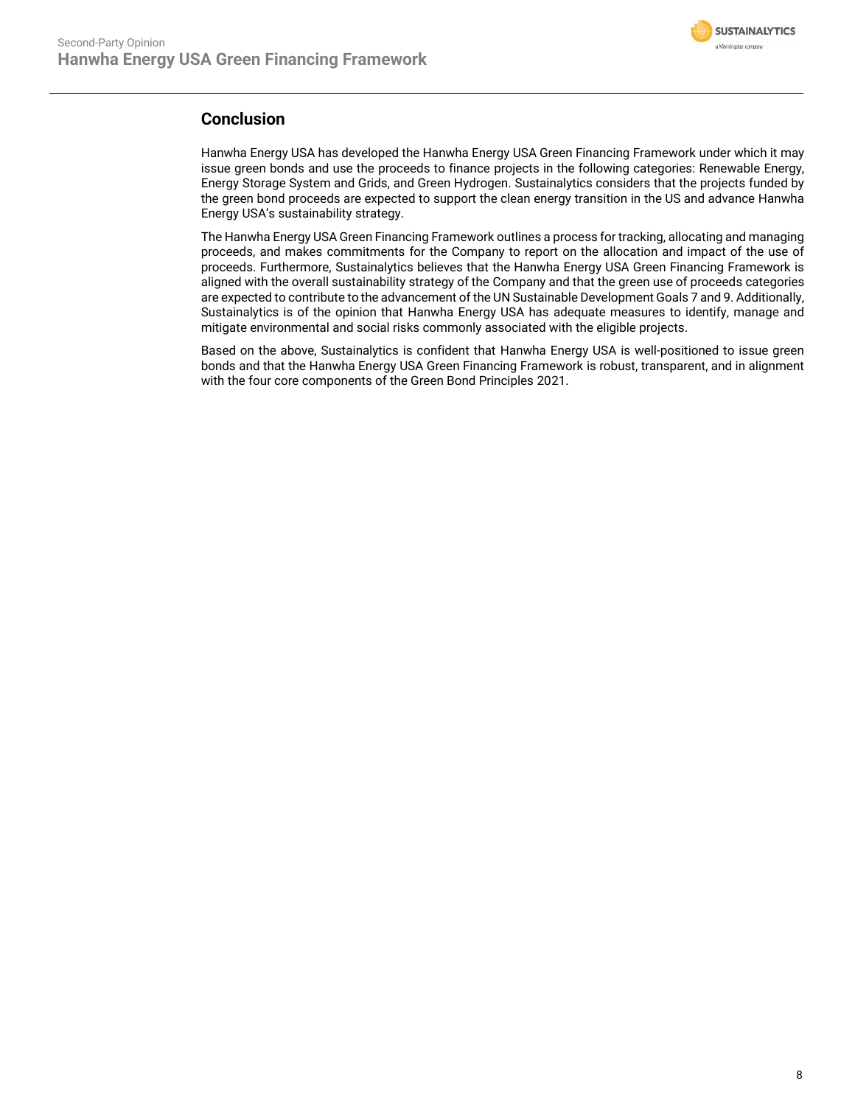

### **Conclusion**

Hanwha Energy USA has developed the Hanwha Energy USA Green Financing Framework under which it may issue green bonds and use the proceeds to finance projects in the following categories: Renewable Energy, Energy Storage System and Grids, and Green Hydrogen. Sustainalytics considers that the projects funded by the green bond proceeds are expected to support the clean energy transition in the US and advance Hanwha Energy USA's sustainability strategy.

The Hanwha Energy USA Green Financing Framework outlines a process for tracking, allocating and managing proceeds, and makes commitments for the Company to report on the allocation and impact of the use of proceeds. Furthermore, Sustainalytics believes that the Hanwha Energy USA Green Financing Framework is aligned with the overall sustainability strategy of the Company and that the green use of proceeds categories are expected to contribute to the advancement of the UN Sustainable Development Goals 7 and 9. Additionally, Sustainalytics is of the opinion that Hanwha Energy USA has adequate measures to identify, manage and mitigate environmental and social risks commonly associated with the eligible projects.

Based on the above, Sustainalytics is confident that Hanwha Energy USA is well-positioned to issue green bonds and that the Hanwha Energy USA Green Financing Framework is robust, transparent, and in alignment with the four core components of the Green Bond Principles 2021.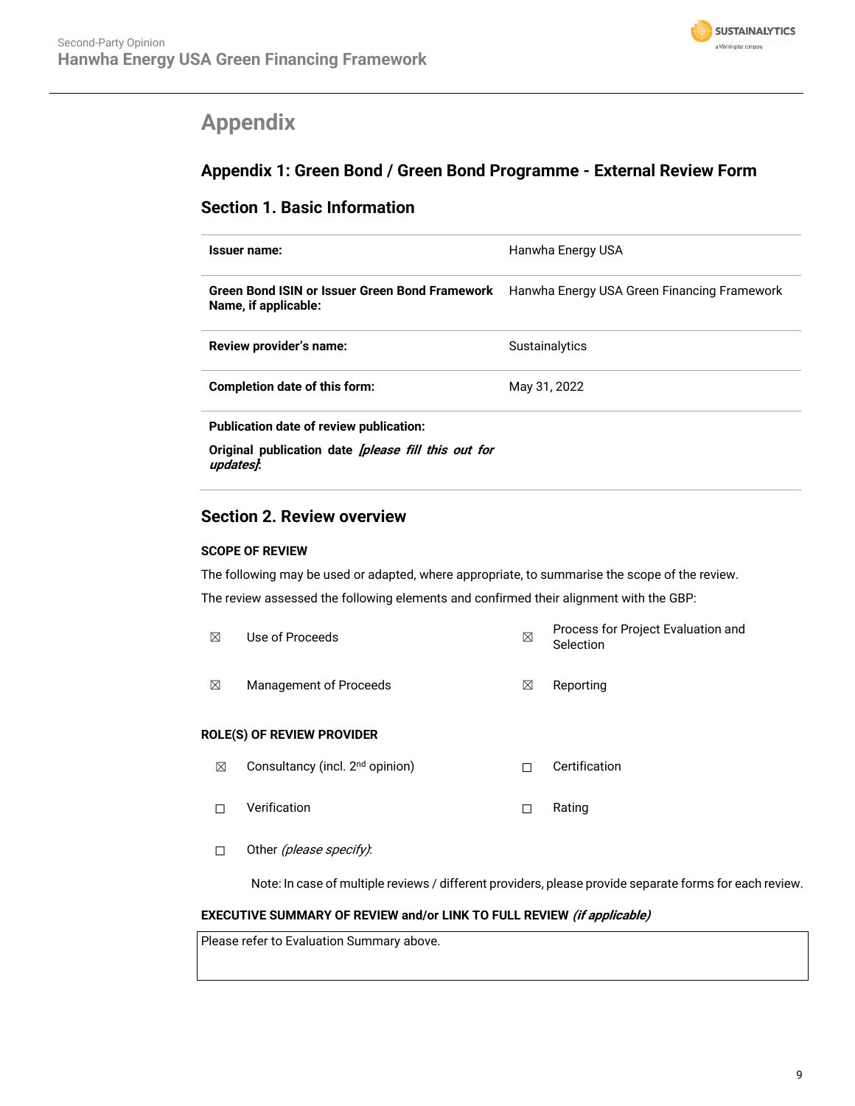

## <span id="page-8-0"></span>**Appendix**

## **Appendix 1: Green Bond / Green Bond Programme - External Review Form**

### **Section 1. Basic Information**

| Issuer name:                                                            | Hanwha Energy USA                           |
|-------------------------------------------------------------------------|---------------------------------------------|
| Green Bond ISIN or Issuer Green Bond Framework<br>Name, if applicable:  | Hanwha Energy USA Green Financing Framework |
| Review provider's name:                                                 | Sustainalytics                              |
| Completion date of this form:                                           | May 31, 2022                                |
| Publication date of review publication:                                 |                                             |
| Original publication date <i>[please fill this out for</i><br>updates). |                                             |

### **Section 2. Review overview**

#### **SCOPE OF REVIEW**

The following may be used or adapted, where appropriate, to summarise the scope of the review. The review assessed the following elements and confirmed their alignment with the GBP:

| ⊠ | Use of Proceeds        | ⊠ | Process for Project Evaluation and<br>Selection |
|---|------------------------|---|-------------------------------------------------|
| ⊠ | Management of Proceeds | M | Reporting                                       |

#### **ROLE(S) OF REVIEW PROVIDER**

- **⊠** Consultancy (incl. 2<sup>nd</sup> opinion) □ □ Certification
- ☐ Verification ☐ Rating
- □ Other (please specify):

Note: In case of multiple reviews / different providers, please provide separate forms for each review.

#### **EXECUTIVE SUMMARY OF REVIEW and/or LINK TO FULL REVIEW (if applicable)**

Please refer to Evaluation Summary above.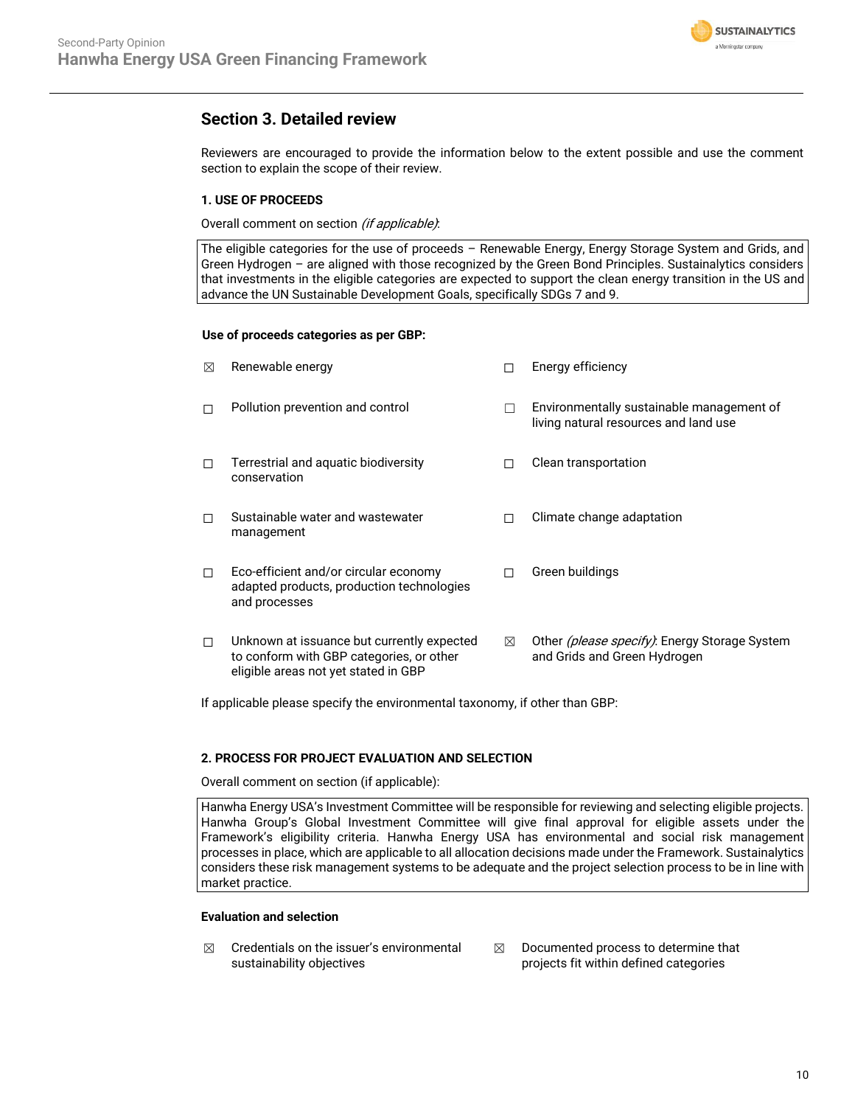

Reviewers are encouraged to provide the information below to the extent possible and use the comment section to explain the scope of their review.

#### **1. USE OF PROCEEDS**

Overall comment on section (if applicable):

The eligible categories for the use of proceeds – Renewable Energy, Energy Storage System and Grids, and Green Hydrogen – are aligned with those recognized by the Green Bond Principles. Sustainalytics considers that investments in the eligible categories are expected to support the clean energy transition in the US and advance the UN Sustainable Development Goals, specifically SDGs 7 and 9.

#### **Use of proceeds categories as per GBP:**

| ⊠      | Renewable energy                                                                                                               |   | Energy efficiency                                                                     |
|--------|--------------------------------------------------------------------------------------------------------------------------------|---|---------------------------------------------------------------------------------------|
| П      | Pollution prevention and control                                                                                               | П | Environmentally sustainable management of<br>living natural resources and land use    |
| П      | Terrestrial and aquatic biodiversity<br>conservation                                                                           |   | Clean transportation                                                                  |
| П      | Sustainable water and wastewater<br>management                                                                                 |   | Climate change adaptation                                                             |
| $\Box$ | Eco-efficient and/or circular economy<br>adapted products, production technologies<br>and processes                            |   | Green buildings                                                                       |
| □      | Unknown at issuance but currently expected<br>to conform with GBP categories, or other<br>eligible areas not yet stated in GBP | ⊠ | Other <i>(please specify)</i> : Energy Storage System<br>and Grids and Green Hydrogen |

If applicable please specify the environmental taxonomy, if other than GBP:

#### **2. PROCESS FOR PROJECT EVALUATION AND SELECTION**

Overall comment on section (if applicable):

Hanwha Energy USA's Investment Committee will be responsible for reviewing and selecting eligible projects. Hanwha Group's Global Investment Committee will give final approval for eligible assets under the Framework's eligibility criteria. Hanwha Energy USA has environmental and social risk management processes in place, which are applicable to all allocation decisions made under the Framework. Sustainalytics considers these risk management systems to be adequate and the project selection process to be in line with market practice.

#### **Evaluation and selection**

- $$\boxtimes$$  Credentials on the issuer's environmental sustainability objectives
- $\boxtimes$  Documented process to determine that projects fit within defined categories

**SUSTAINALYTICS** a Morninostar company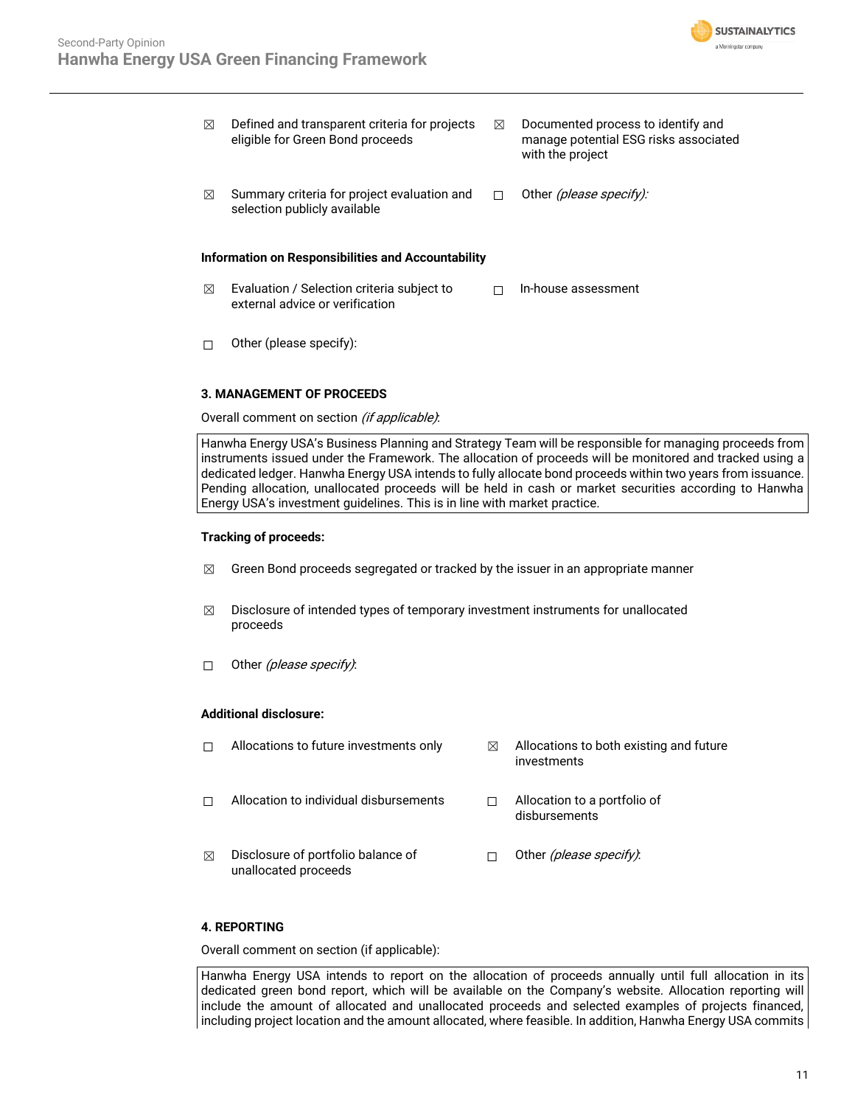

| ⊠ | Defined and transparent criteria for projects<br>eligible for Green Bond proceeds | ⊠ | Documented process to identify and<br>manage potential ESG risks associated<br>with the project |
|---|-----------------------------------------------------------------------------------|---|-------------------------------------------------------------------------------------------------|
| ⊠ | Summary criteria for project evaluation and<br>selection publicly available       | П | Other <i>(please specify):</i>                                                                  |
|   | Information on Responsibilities and Accountability                                |   |                                                                                                 |
| ⊠ | Evaluation / Selection criteria subject to                                        |   | In-house assessment                                                                             |

☐ Other (please specify):

#### **3. MANAGEMENT OF PROCEEDS**

Overall comment on section (if applicable):

external advice or verification

Hanwha Energy USA's Business Planning and Strategy Team will be responsible for managing proceeds from instruments issued under the Framework. The allocation of proceeds will be monitored and tracked using a dedicated ledger. Hanwha Energy USA intends to fully allocate bond proceeds within two years from issuance. Pending allocation, unallocated proceeds will be held in cash or market securities according to Hanwha Energy USA's investment guidelines. This is in line with market practice.

#### **Tracking of proceeds:**

- $\boxtimes$  Green Bond proceeds segregated or tracked by the issuer in an appropriate manner
- $\boxtimes$  Disclosure of intended types of temporary investment instruments for unallocated proceeds
- □ Other (please specify):

#### **Additional disclosure:**

|   | Allocations to future investments only                     | M | Allocations to both existing and future<br>investments |
|---|------------------------------------------------------------|---|--------------------------------------------------------|
|   | Allocation to individual disbursements                     |   | Allocation to a portfolio of<br>disbursements          |
| ⊠ | Disclosure of portfolio balance of<br>unallocated proceeds |   | Other (please specify).                                |

#### **4. REPORTING**

Overall comment on section (if applicable):

Hanwha Energy USA intends to report on the allocation of proceeds annually until full allocation in its dedicated green bond report, which will be available on the Company's website. Allocation reporting will include the amount of allocated and unallocated proceeds and selected examples of projects financed, including project location and the amount allocated, where feasible. In addition, Hanwha Energy USA commits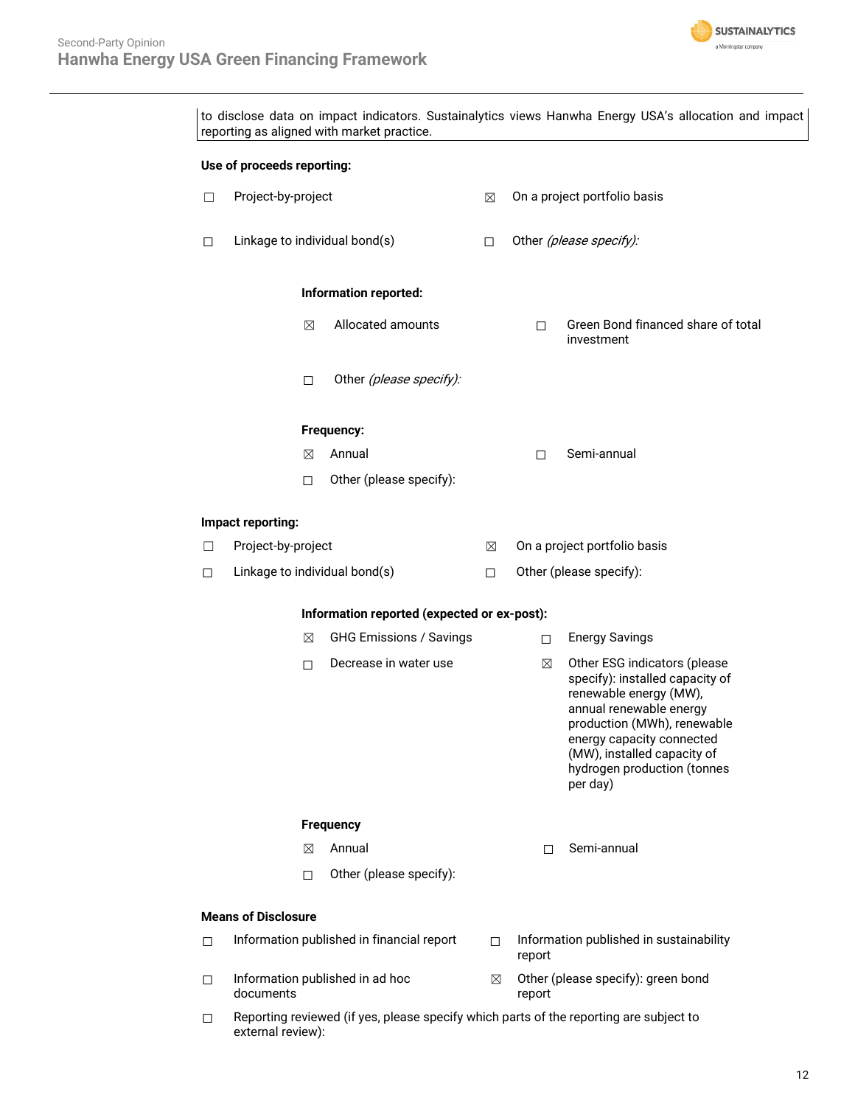external review):



|                                     | Use of proceeds reporting:                  |                                           |        |                                    |                                                                                                                                                                                                                                                            |
|-------------------------------------|---------------------------------------------|-------------------------------------------|--------|------------------------------------|------------------------------------------------------------------------------------------------------------------------------------------------------------------------------------------------------------------------------------------------------------|
| $\Box$                              | Project-by-project                          |                                           | ⊠      |                                    | On a project portfolio basis                                                                                                                                                                                                                               |
| $\Box$                              | Linkage to individual bond(s)               |                                           | $\Box$ | Other (please specify):            |                                                                                                                                                                                                                                                            |
|                                     |                                             | Information reported:                     |        |                                    |                                                                                                                                                                                                                                                            |
|                                     | ⊠                                           | Allocated amounts                         |        | □                                  | Green Bond financed share of total<br>investment                                                                                                                                                                                                           |
|                                     | □                                           | Other (please specify):                   |        |                                    |                                                                                                                                                                                                                                                            |
|                                     |                                             | Frequency:                                |        |                                    |                                                                                                                                                                                                                                                            |
|                                     | ⊠                                           | Annual                                    |        | П                                  | Semi-annual                                                                                                                                                                                                                                                |
|                                     | □                                           | Other (please specify):                   |        |                                    |                                                                                                                                                                                                                                                            |
|                                     | Impact reporting:                           |                                           |        |                                    |                                                                                                                                                                                                                                                            |
| □                                   | Project-by-project                          |                                           | ⊠      |                                    | On a project portfolio basis                                                                                                                                                                                                                               |
| □                                   | Linkage to individual bond(s)               |                                           | $\Box$ |                                    | Other (please specify):                                                                                                                                                                                                                                    |
|                                     | Information reported (expected or ex-post): |                                           |        |                                    |                                                                                                                                                                                                                                                            |
| <b>GHG Emissions / Savings</b><br>⊠ |                                             |                                           | □      | <b>Energy Savings</b>              |                                                                                                                                                                                                                                                            |
|                                     | □                                           | Decrease in water use                     |        | ⊠                                  | Other ESG indicators (please<br>specify): installed capacity of<br>renewable energy (MW),<br>annual renewable energy<br>production (MWh), renewable<br>energy capacity connected<br>(MW), installed capacity of<br>hydrogen production (tonnes<br>per day) |
| <b>Frequency</b>                    |                                             |                                           |        |                                    |                                                                                                                                                                                                                                                            |
|                                     | ⊠                                           | Annual                                    |        | п                                  | Semi-annual                                                                                                                                                                                                                                                |
|                                     | □                                           | Other (please specify):                   |        |                                    |                                                                                                                                                                                                                                                            |
|                                     | <b>Means of Disclosure</b>                  |                                           |        |                                    |                                                                                                                                                                                                                                                            |
| □                                   |                                             | Information published in financial report | п      | report                             | Information published in sustainability                                                                                                                                                                                                                    |
|                                     |                                             |                                           |        | Other (please specify): green bond |                                                                                                                                                                                                                                                            |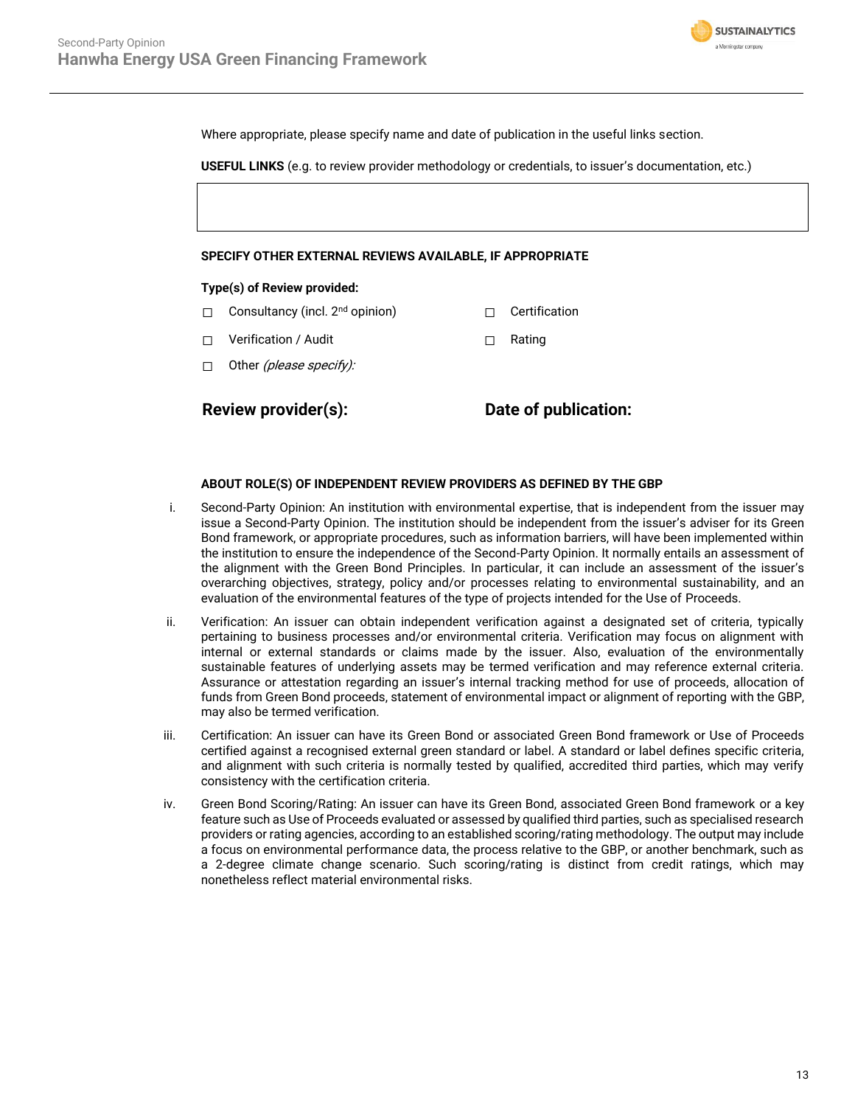

Where appropriate, please specify name and date of publication in the useful links section.

**USEFUL LINKS** (e.g. to review provider methodology or credentials, to issuer's documentation, etc.)

#### **SPECIFY OTHER EXTERNAL REVIEWS AVAILABLE, IF APPROPRIATE**

#### **Type(s) of Review provided:**

- □ Consultancy (incl. 2<sup>nd</sup> opinion) □ □ Certification
- ☐ Verification / Audit ☐ Rating
- $\Box$  Other *(please specify):*

**Review provider(s): Date of publication:**

#### **ABOUT ROLE(S) OF INDEPENDENT REVIEW PROVIDERS AS DEFINED BY THE GBP**

- i. Second-Party Opinion: An institution with environmental expertise, that is independent from the issuer may issue a Second-Party Opinion. The institution should be independent from the issuer's adviser for its Green Bond framework, or appropriate procedures, such as information barriers, will have been implemented within the institution to ensure the independence of the Second-Party Opinion. It normally entails an assessment of the alignment with the Green Bond Principles. In particular, it can include an assessment of the issuer's overarching objectives, strategy, policy and/or processes relating to environmental sustainability, and an evaluation of the environmental features of the type of projects intended for the Use of Proceeds.
- ii. Verification: An issuer can obtain independent verification against a designated set of criteria, typically pertaining to business processes and/or environmental criteria. Verification may focus on alignment with internal or external standards or claims made by the issuer. Also, evaluation of the environmentally sustainable features of underlying assets may be termed verification and may reference external criteria. Assurance or attestation regarding an issuer's internal tracking method for use of proceeds, allocation of funds from Green Bond proceeds, statement of environmental impact or alignment of reporting with the GBP, may also be termed verification.
- iii. Certification: An issuer can have its Green Bond or associated Green Bond framework or Use of Proceeds certified against a recognised external green standard or label. A standard or label defines specific criteria, and alignment with such criteria is normally tested by qualified, accredited third parties, which may verify consistency with the certification criteria.
- iv. Green Bond Scoring/Rating: An issuer can have its Green Bond, associated Green Bond framework or a key feature such as Use of Proceeds evaluated or assessed by qualified third parties, such as specialised research providers or rating agencies, according to an established scoring/rating methodology. The output may include a focus on environmental performance data, the process relative to the GBP, or another benchmark, such as a 2-degree climate change scenario. Such scoring/rating is distinct from credit ratings, which may nonetheless reflect material environmental risks.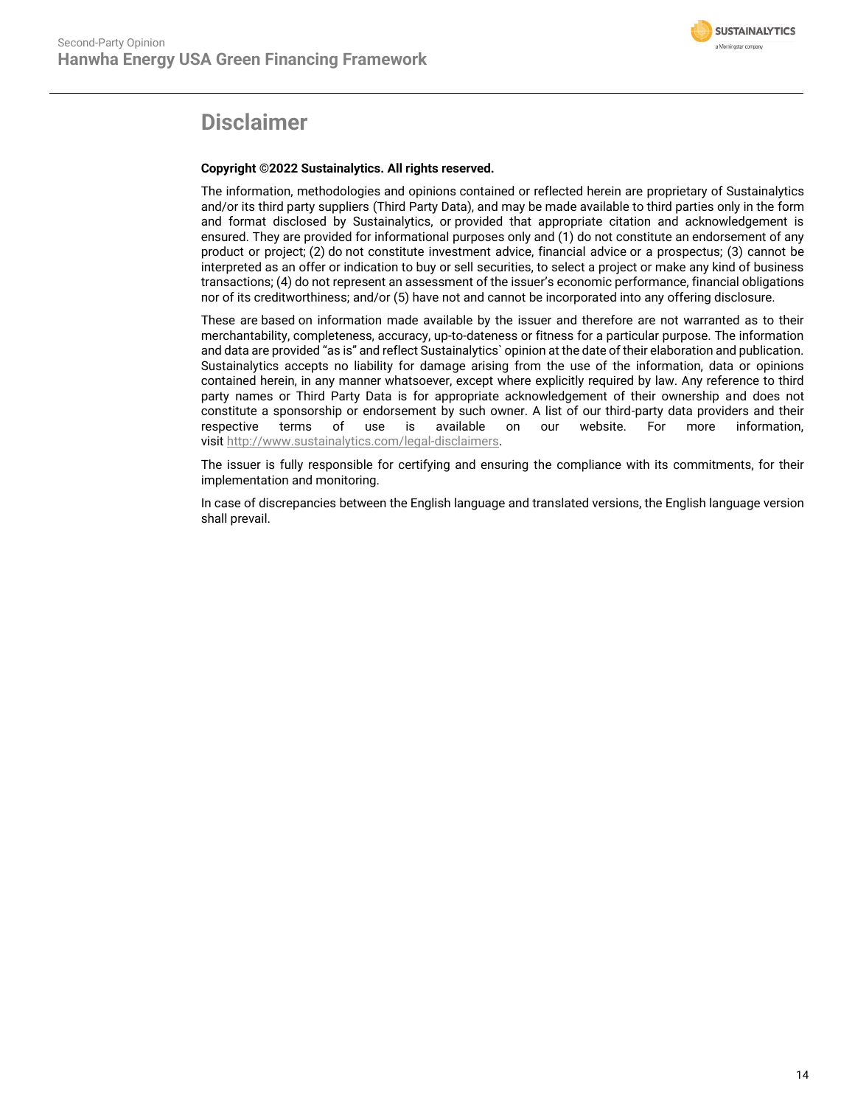

## **Disclaimer**

#### **Copyright ©2022 Sustainalytics. All rights reserved.**

The information, methodologies and opinions contained or reflected herein are proprietary of Sustainalytics and/or its third party suppliers (Third Party Data), and may be made available to third parties only in the form and format disclosed by Sustainalytics, or provided that appropriate citation and acknowledgement is ensured. They are provided for informational purposes only and (1) do not constitute an endorsement of any product or project; (2) do not constitute investment advice, financial advice or a prospectus; (3) cannot be interpreted as an offer or indication to buy or sell securities, to select a project or make any kind of business transactions; (4) do not represent an assessment of the issuer's economic performance, financial obligations nor of its creditworthiness; and/or (5) have not and cannot be incorporated into any offering disclosure.

These are based on information made available by the issuer and therefore are not warranted as to their merchantability, completeness, accuracy, up-to-dateness or fitness for a particular purpose. The information and data are provided "as is" and reflect Sustainalytics` opinion at the date of their elaboration and publication. Sustainalytics accepts no liability for damage arising from the use of the information, data or opinions contained herein, in any manner whatsoever, except where explicitly required by law. Any reference to third party names or Third Party Data is for appropriate acknowledgement of their ownership and does not constitute a sponsorship or endorsement by such owner. A list of our third-party data providers and their respective terms of use is available on our website. For more information, visit [http://www.sustainalytics.com/legal-disclaimers.](http://www.sustainalytics.com/legal-disclaimers)

The issuer is fully responsible for certifying and ensuring the compliance with its commitments, for their implementation and monitoring.

In case of discrepancies between the English language and translated versions, the English language version shall prevail.